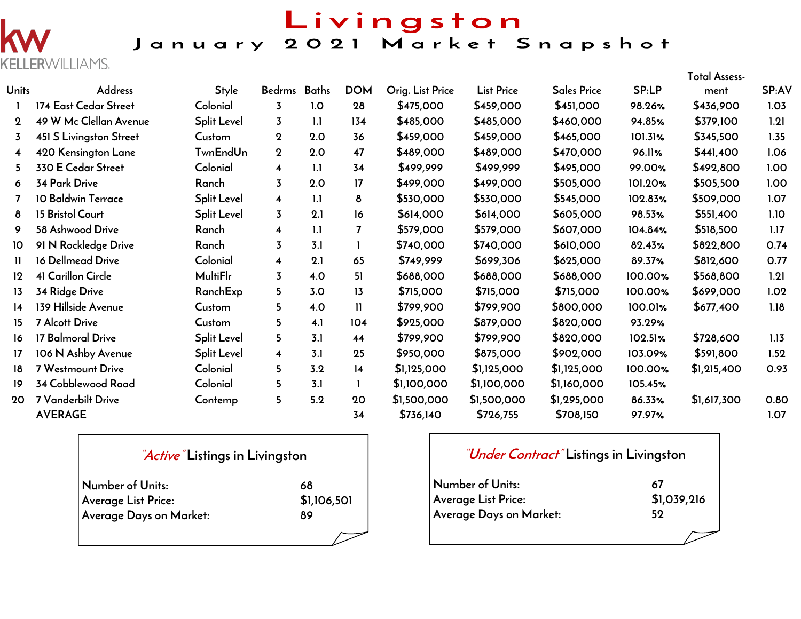

## Livingston January 2021 Market Snapshot

|                 |                         |                 |                         |     |              |                  |                   |             |              | Total Assess- |       |
|-----------------|-------------------------|-----------------|-------------------------|-----|--------------|------------------|-------------------|-------------|--------------|---------------|-------|
| <b>Units</b>    | <b>Address</b>          | Style           | Bedrms Baths            |     | <b>DOM</b>   | Orig. List Price | <b>List Price</b> | Sales Price | <b>SP:LP</b> | ment          | SP:AV |
|                 | 174 East Cedar Street   | Colonial        | 3                       | 1.0 | 28           | \$475,000        | \$459,000         | \$451,000   | 98.26%       | \$436,900     | 1.03  |
| $\mathbf 2$     | 49 W Mc Clellan Avenue  | Split Level     | 3                       | 1.1 | 134          | \$485,000        | \$485,000         | \$460,000   | 94.85%       | \$379,100     | 1.21  |
| 3               | 451 S Livingston Street | Custom          | $\mathbf 2$             | 2.0 | 36           | \$459,000        | \$459,000         | \$465,000   | 101.31%      | \$345,500     | 1.35  |
| 4               | 420 Kensington Lane     | <b>TwnEndUn</b> | $\mathbf 2$             | 2.0 | 47           | \$489,000        | \$489,000         | \$470,000   | 96.11%       | \$441,400     | 1.06  |
| 5.              | 330 E Cedar Street      | Colonial        | $\overline{\mathbf{4}}$ | 1.1 | 34           | \$499,999        | \$499,999         | \$495,000   | 99.00%       | \$492,800     | 1.00  |
| 6               | <b>34 Park Drive</b>    | Ranch           | 3                       | 2.0 | 17           | \$499,000        | \$499,000         | \$505,000   | 101.20%      | \$505,500     | 1.00  |
|                 | 10 Baldwin Terrace      | Split Level     | $\overline{\mathbf{4}}$ | 1.1 | 8            | \$530,000        | \$530,000         | \$545,000   | 102.83%      | \$509,000     | 1.07  |
| 8               | 15 Bristol Court        | Split Level     | $\overline{3}$          | 2.1 | 16           | \$614,000        | \$614,000         | \$605,000   | 98.53%       | \$551,400     | 1.10  |
| 9               | 58 Ashwood Drive        | Ranch           | 4                       | 1.1 | 7            | \$579,000        | \$579,000         | \$607,000   | 104.84%      | \$518,500     | 1.17  |
| 10              | 91 N Rockledge Drive    | Ranch           | $\overline{3}$          | 3.1 |              | \$740,000        | \$740,000         | \$610,000   | 82.43%       | \$822,800     | 0.74  |
| 11.             | 16 Dellmead Drive       | Colonial        | $\overline{\mathbf{4}}$ | 2.1 | 65           | \$749,999        | \$699,306         | \$625,000   | 89.37%       | \$812,600     | 0.77  |
| 12              | 41 Carillon Circle      | <b>MultiFlr</b> | $\overline{3}$          | 4.0 | 51           | \$688,000        | \$688,000         | \$688,000   | 100.00%      | \$568,800     | 1.21  |
| 13              | 34 Ridge Drive          | RanchExp        | 5                       | 3.0 | 13           | \$715,000        | \$715,000         | \$715,000   | 100.00%      | \$699,000     | 1.02  |
| 14              | 139 Hillside Avenue     | Custom          | 5                       | 4.0 | $\mathbf{1}$ | \$799,900        | \$799,900         | \$800,000   | 100.01%      | \$677,400     | 1.18  |
| 15              | <b>7 Alcott Drive</b>   | Custom          | 5.                      | 4.1 | 104          | \$925,000        | \$879,000         | \$820,000   | 93.29%       |               |       |
| 16              | 17 Balmoral Drive       | Split Level     | 5                       | 3.1 | 44           | \$799,900        | \$799,900         | \$820,000   | 102.51%      | \$728,600     | 1.13  |
| 17              | 106 N Ashby Avenue      | Split Level     | $\overline{\mathbf{4}}$ | 3.1 | 25           | \$950,000        | \$875,000         | \$902,000   | 103.09%      | \$591,800     | 1.52  |
| 18              | 7 Westmount Drive       | Colonial        | 5                       | 3.2 | 14           | \$1,125,000      | \$1,125,000       | \$1,125,000 | 100.00%      | \$1,215,400   | 0.93  |
| 19 <sup>°</sup> | 34 Cobblewood Road      | Colonial        | 5                       | 3.1 |              | \$1,100,000      | \$1,100,000       | \$1,160,000 | 105.45%      |               |       |
| 20              | 7 Vanderbilt Drive      | Contemp         | 5                       | 5.2 | 20           | \$1,500,000      | \$1,500,000       | \$1,295,000 | 86.33%       | \$1,617,300   | 0.80  |
|                 | <b>AVERAGE</b>          |                 |                         |     | 34           | \$736,140        | \$726,755         | \$708,150   | 97.97%       |               | 1.07  |

#### **"Active" Listings in Livingston**

| Number of Units:        | 68          |
|-------------------------|-------------|
| Average List Price:     | \$1,106,501 |
| Average Days on Market: | 89          |
|                         |             |

#### **"Under Contract" Listings in Livingston**

| Number of Units:           | 67          |
|----------------------------|-------------|
| <b>Average List Price:</b> | \$1,039,216 |
| Average Days on Market:    | 59          |
|                            |             |